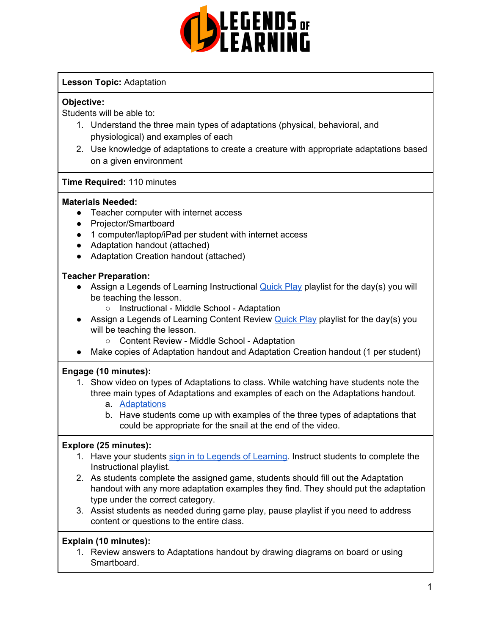

#### **Lesson Topic:** Adaptation

#### **Objective:**

Students will be able to:

- 1. Understand the three main types of adaptations (physical, behavioral, and physiological) and examples of each
- 2. Use knowledge of adaptations to create a creature with appropriate adaptations based on a given environment

#### **Time Required:** 110 minutes

#### **Materials Needed:**

- Teacher computer with internet access
- Projector/Smartboard
- 1 computer/laptop/iPad per student with internet access
- Adaptation handout (attached)
- Adaptation Creation handout (attached)

#### **Teacher Preparation:**

- Assign a Legends of Learning Instructional [Quick](https://intercom.help/legends-of-learning/en/articles/2701866-assigning-a-quick-play-playlist) Play playlist for the day(s) you will be teaching the lesson.
	- Instructional Middle School Adaptation
- Assign a Legends of Learning Content Review [Quick](https://intercom.help/legends-of-learning/en/articles/2701866-assigning-a-quick-play-playlist) Play playlist for the day(s) you will be teaching the lesson.
	- Content Review Middle School Adaptation
- Make copies of Adaptation handout and Adaptation Creation handout (1 per student)

#### **Engage (10 minutes):**

- 1. Show video on types of Adaptations to class. While watching have students note the three main types of Adaptations and examples of each on the Adaptations handout.
	- a. [Adaptations](https://www.youtube.com/watch?v=vnmPdHmRv9o)
	- b. Have students come up with examples of the three types of adaptations that could be appropriate for the snail at the end of the video.

#### **Explore (25 minutes):**

- 1. Have your students sign in to Legends of [Learning](https://intercom.help/legends-of-learning/en/articles/2154920-students-joining-a-playlist). Instruct students to complete the Instructional playlist.
- 2. As students complete the assigned game, students should fill out the Adaptation handout with any more adaptation examples they find. They should put the adaptation type under the correct category.
- 3. Assist students as needed during game play, pause playlist if you need to address content or questions to the entire class.

#### **Explain (10 minutes):**

1. Review answers to Adaptations handout by drawing diagrams on board or using Smartboard.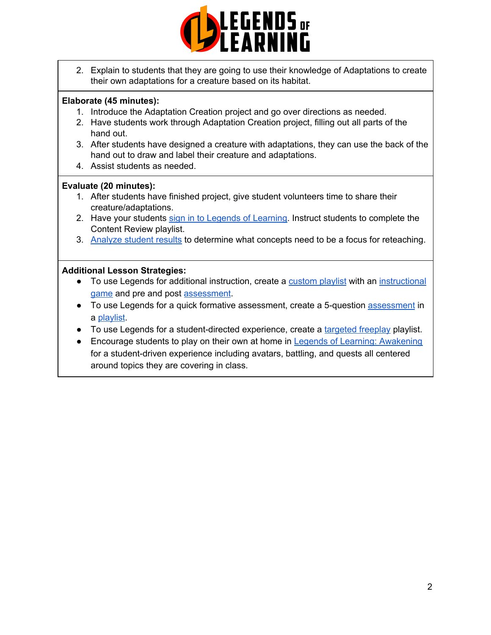

2. Explain to students that they are going to use their knowledge of Adaptations to create their own adaptations for a creature based on its habitat.

#### **Elaborate (45 minutes):**

- 1. Introduce the Adaptation Creation project and go over directions as needed.
- 2. Have students work through Adaptation Creation project, filling out all parts of the hand out.
- 3. After students have designed a creature with adaptations, they can use the back of the hand out to draw and label their creature and adaptations.
- 4. Assist students as needed.

#### **Evaluate (20 minutes):**

- 1. After students have finished project, give student volunteers time to share their creature/adaptations.
- 2. Have your students sign in to Legends of [Learning](https://intercom.help/legends-of-learning/en/articles/2154920-students-joining-a-playlist). Instruct students to complete the Content Review playlist.
- 3. [Analyze](https://intercom.help/legends-of-learning/en/articles/2154918-tracking-student-progress-and-performance) student results to determine what concepts need to be a focus for reteaching.

#### **Additional Lesson Strategies:**

- To use Legends for additional instruction, create a [custom](https://intercom.help/legends-of-learning/en/articles/2154910-creating-a-playlist) playlist with an [instructional](https://intercom.help/legends-of-learning/en/articles/3505828-types-of-games) [game](https://intercom.help/legends-of-learning/en/articles/3505828-types-of-games) and pre and post [assessment](https://intercom.help/legends-of-learning/en/articles/2154913-adding-assessments-to-a-playlist).
- To use Legends for a quick formative [assessment](https://intercom.help/legends-of-learning/en/articles/2154913-adding-assessments-to-a-playlist), create a 5-question assessment in a [playlist](https://intercom.help/legends-of-learning/en/articles/2154910-creating-a-playlist).
- To use Legends for a student-directed experience, create a [targeted](https://intercom.help/legends-of-learning/en/articles/3340814-targeted-freeplay) freeplay playlist.
- Encourage students to play on their own at home in Legends of Learning: [Awakening](https://intercom.help/legends-of-learning/en/articles/2425490-legends-of-learning-awakening) for a student-driven experience including avatars, battling, and quests all centered around topics they are covering in class.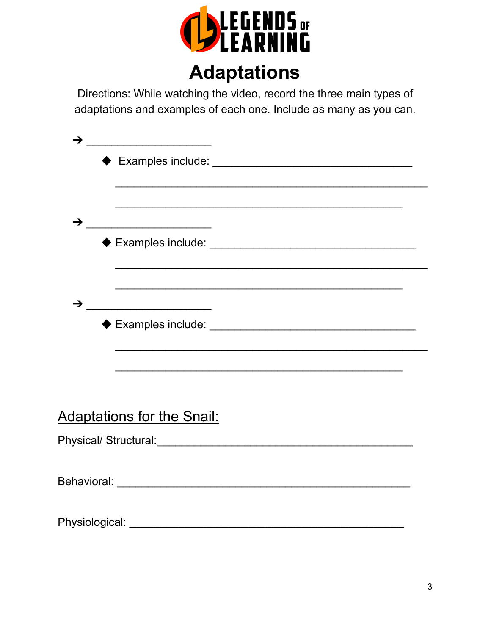

### Directions: While watching the video, record the three main types of adaptations and examples of each one. Include as many as you can.

| →                                 | <u> 1990 - Johann John Stone, martin de Brasil</u> |  |  |
|-----------------------------------|----------------------------------------------------|--|--|
|                                   |                                                    |  |  |
|                                   |                                                    |  |  |
|                                   |                                                    |  |  |
| →                                 |                                                    |  |  |
|                                   |                                                    |  |  |
| <b>Adaptations for the Snail:</b> |                                                    |  |  |
|                                   |                                                    |  |  |
|                                   |                                                    |  |  |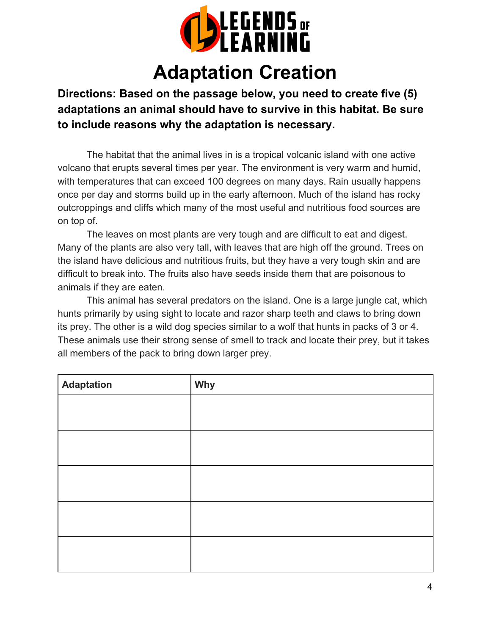

### **Adaptation Creation**

**Directions: Based on the passage below, you need to create five (5) adaptations an animal should have to survive in this habitat. Be sure to include reasons why the adaptation is necessary.**

The habitat that the animal lives in is a tropical volcanic island with one active volcano that erupts several times per year. The environment is very warm and humid, with temperatures that can exceed 100 degrees on many days. Rain usually happens once per day and storms build up in the early afternoon. Much of the island has rocky outcroppings and cliffs which many of the most useful and nutritious food sources are on top of.

The leaves on most plants are very tough and are difficult to eat and digest. Many of the plants are also very tall, with leaves that are high off the ground. Trees on the island have delicious and nutritious fruits, but they have a very tough skin and are difficult to break into. The fruits also have seeds inside them that are poisonous to animals if they are eaten.

This animal has several predators on the island. One is a large jungle cat, which hunts primarily by using sight to locate and razor sharp teeth and claws to bring down its prey. The other is a wild dog species similar to a wolf that hunts in packs of 3 or 4. These animals use their strong sense of smell to track and locate their prey, but it takes all members of the pack to bring down larger prey.

| <b>Adaptation</b> | Why |
|-------------------|-----|
|                   |     |
|                   |     |
|                   |     |
|                   |     |
|                   |     |
|                   |     |
|                   |     |
|                   |     |
|                   |     |
|                   |     |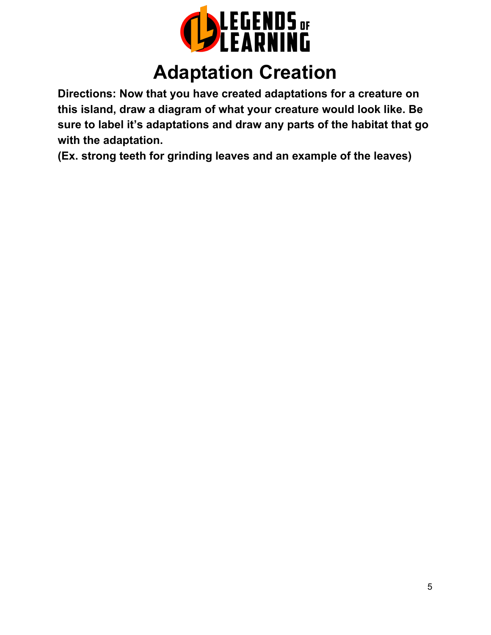

## **Adaptation Creation**

**Directions: Now that you have created adaptations for a creature on this island, draw a diagram of what your creature would look like. Be sure to label it's adaptations and draw any parts of the habitat that go with the adaptation.**

**(Ex. strong teeth for grinding leaves and an example of the leaves)**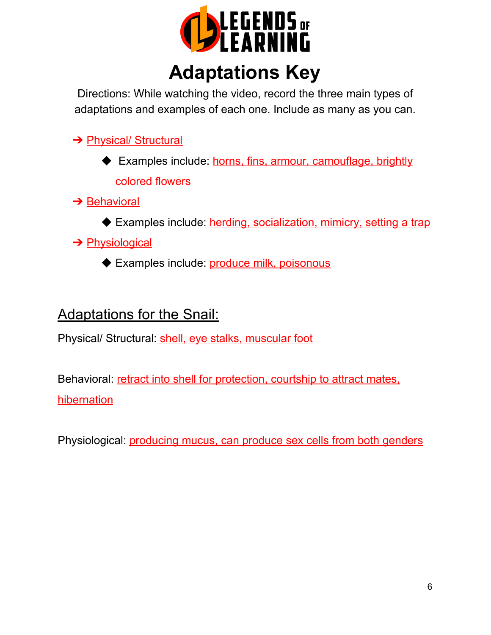

## **Adaptations Key**

Directions: While watching the video, record the three main types of adaptations and examples of each one. Include as many as you can.

→ Physical/ Structural

- ◆ Examples include: horns, fins, armour, camouflage, brightly colored flowers
- **→ Behavioral** 
	- ◆ Examples include: herding, socialization, mimicry, setting a trap

### **→ Physiological**

◆ Examples include: produce milk, poisonous

### Adaptations for the Snail:

Physical/ Structural: shell, eye stalks, muscular foot

Behavioral: retract into shell for protection, courtship to attract mates, hibernation

Physiological: producing mucus, can produce sex cells from both genders